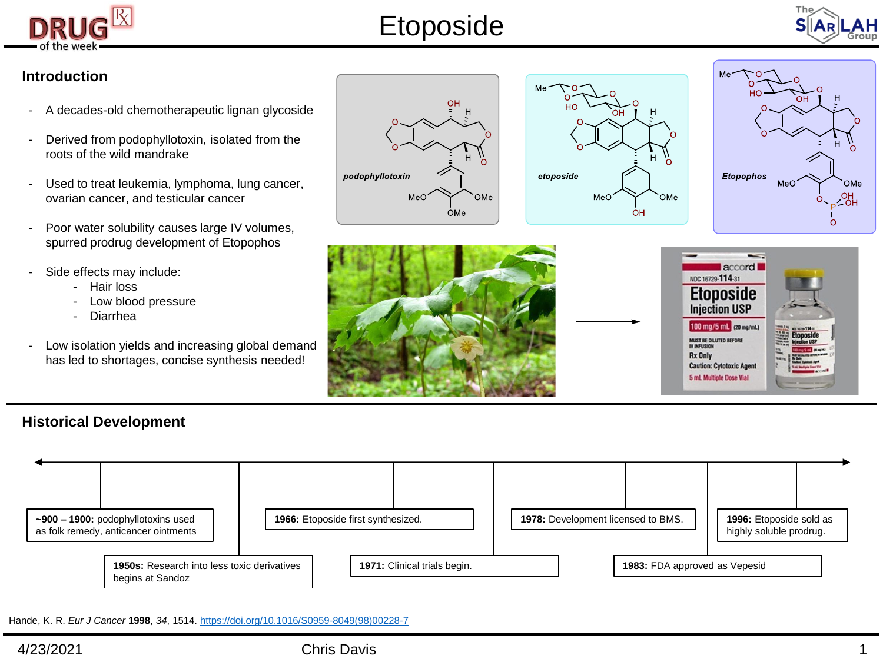

# Etoposide



### **Introduction**

- A decades-old chemotherapeutic lignan glycoside
- Derived from podophyllotoxin, isolated from the roots of the wild mandrake
- Used to treat leukemia, lymphoma, lung cancer, ovarian cancer, and testicular cancer
- Poor water solubility causes large IV volumes, spurred prodrug development of Etopophos
- Side effects may include:
	- Hair loss
	- Low blood pressure
	- Diarrhea
- Low isolation yields and increasing global demand has led to shortages, concise synthesis needed!









### **Historical Development**



Hande, K. R. *Eur J Cancer* **1998**, *34*, 1514. [https://doi.org/10.1016/S0959-8049\(98\)00228-7](https://doi.org/10.1016/S0959-8049(98)00228-7)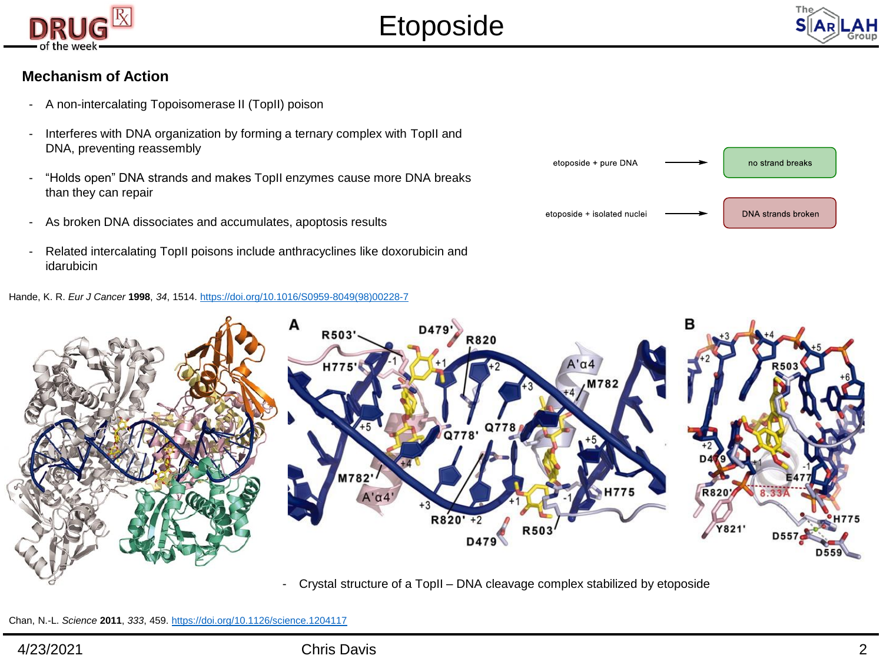



#### **Mechanism of Action**

- A non-intercalating Topoisomerase II (TopII) poison
- Interferes with DNA organization by forming a ternary complex with TopII and DNA, preventing reassembly
- "Holds open" DNA strands and makes TopII enzymes cause more DNA breaks than they can repair
- As broken DNA dissociates and accumulates, apoptosis results
- Related intercalating TopII poisons include anthracyclines like doxorubicin and idarubicin

Hande, K. R. *Eur J Cancer* **1998**, *34*, 1514. [https://doi.org/10.1016/S0959-8049\(98\)00228-7](https://doi.org/10.1016/S0959-8049(98)00228-7)





- Crystal structure of a TopII – DNA cleavage complex stabilized by etoposide

Chan, N.-L. *Science* **2011**, *333*, 459. <https://doi.org/10.1126/science.1204117>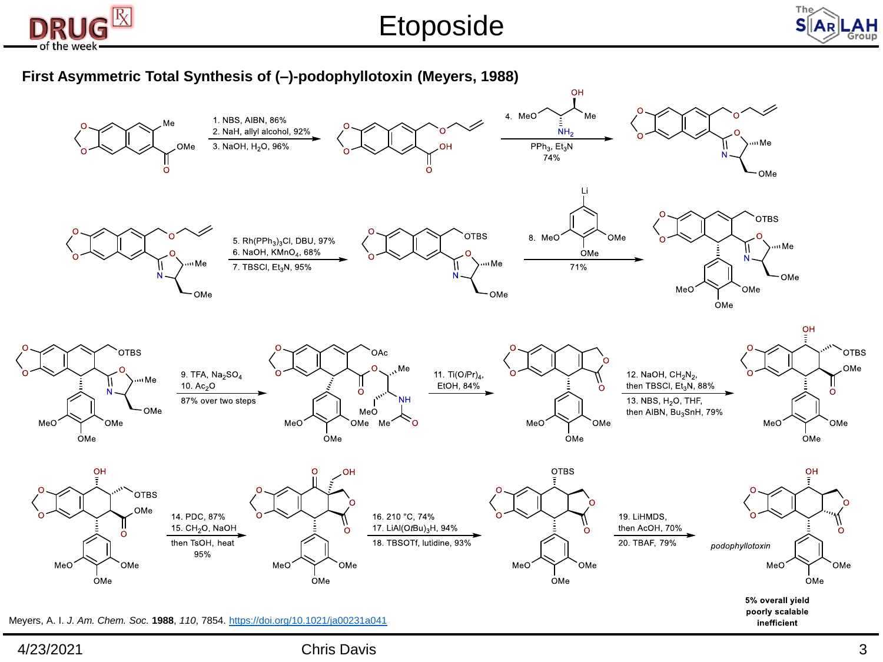

Etoposide



#### **First Asymmetric Total Synthesis of (–)-podophyllotoxin (Meyers, 1988)**